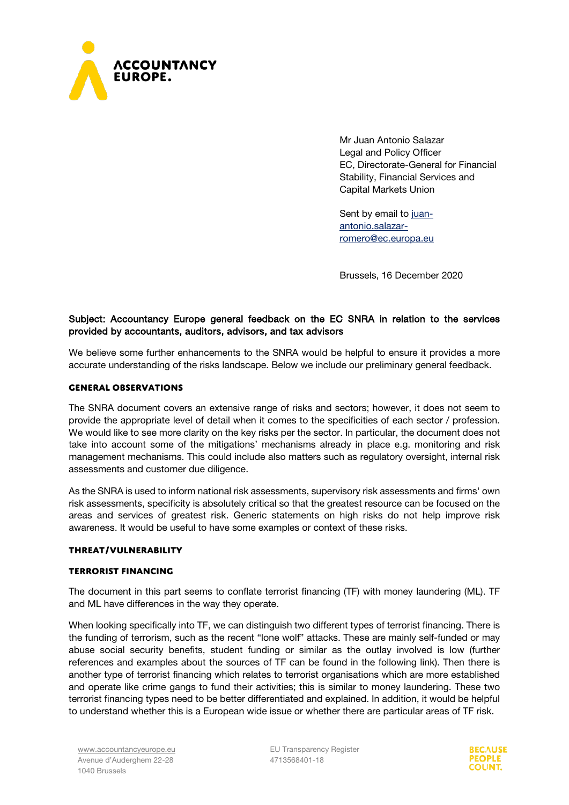

Mr Juan Antonio Salazar Legal and Policy Officer EC, Directorate-General for Financial Stability, Financial Services and Capital Markets Union

Sent by email to [juan](mailto:juan-antonio.salazar-romero@ec.europa.eu)[antonio.salazar](mailto:juan-antonio.salazar-romero@ec.europa.eu)[romero@ec.europa.eu](mailto:juan-antonio.salazar-romero@ec.europa.eu)

Brussels, 16 December 2020

## Subject: Accountancy Europe general feedback on the EC SNRA in relation to the services provided by accountants, auditors, advisors, and tax advisors

We believe some further enhancements to the SNRA would be helpful to ensure it provides a more accurate understanding of the risks landscape. Below we include our preliminary general feedback.

## **General observations**

The SNRA document covers an extensive range of risks and sectors; however, it does not seem to provide the appropriate level of detail when it comes to the specificities of each sector / profession. We would like to see more clarity on the key risks per the sector. In particular, the document does not take into account some of the mitigations' mechanisms already in place e.g. monitoring and risk management mechanisms. This could include also matters such as regulatory oversight, internal risk assessments and customer due diligence.

As the SNRA is used to inform national risk assessments, supervisory risk assessments and firms' own risk assessments, specificity is absolutely critical so that the greatest resource can be focused on the areas and services of greatest risk. Generic statements on high risks do not help improve risk awareness. It would be useful to have some examples or context of these risks.

#### **Threat/Vulnerability**

#### **Terrorist financing**

The document in this part seems to conflate terrorist financing (TF) with money laundering (ML). TF and ML have differences in the way they operate.

When looking specifically into TF, we can distinguish two different types of terrorist financing. There is the funding of terrorism, such as the recent "lone wolf" attacks. These are mainly self-funded or may abuse social security benefits, student funding or similar as the outlay involved is low (further references and examples about the sources of TF can be found in the following [link\)](https://uwe-repository.worktribe.com/output/6692941%20see%20NATO%20Sept%202020%20presentation). Then there is another type of terrorist financing which relates to terrorist organisations which are more established and operate like crime gangs to fund their activities; this is similar to money laundering. These two terrorist financing types need to be better differentiated and explained. In addition, it would be helpful to understand whether this is a European wide issue or whether there are particular areas of TF risk.

EU Transparency Register 4713568401-18

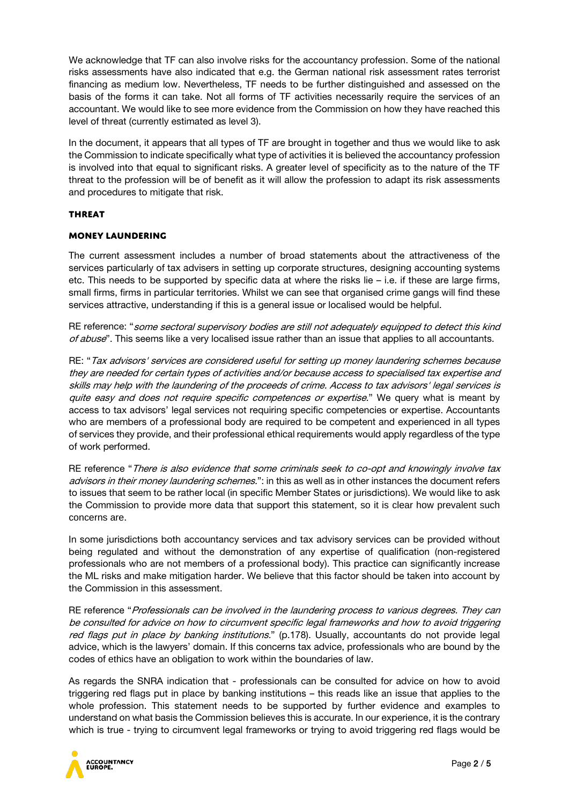We acknowledge that TF can also involve risks for the accountancy profession. Some of the national risks assessments have also indicated that e.g. the German national risk assessment rates terrorist financing as medium low. Nevertheless, TF needs to be further distinguished and assessed on the basis of the forms it can take. Not all forms of TF activities necessarily require the services of an accountant. We would like to see more evidence from the Commission on how they have reached this level of threat (currently estimated as level 3).

In the document, it appears that all types of TF are brought in together and thus we would like to ask the Commission to indicate specifically what type of activities it is believed the accountancy profession is involved into that equal to significant risks. A greater level of specificity as to the nature of the TF threat to the profession will be of benefit as it will allow the profession to adapt its risk assessments and procedures to mitigate that risk.

## **Threat**

## **Money laundering**

The current assessment includes a number of broad statements about the attractiveness of the services particularly of tax advisers in setting up corporate structures, designing accounting systems etc. This needs to be supported by specific data at where the risks lie – i.e. if these are large firms, small firms, firms in particular territories. Whilst we can see that organised crime gangs will find these services attractive, understanding if this is a general issue or localised would be helpful.

RE reference: "some sectoral supervisory bodies are still not adequately equipped to detect this kind of abuse". This seems like a very localised issue rather than an issue that applies to all accountants.

RE: "Tax advisors' services are considered useful for setting up money laundering schemes because they are needed for certain types of activities and/or because access to specialised tax expertise and skills may help with the laundering of the proceeds of crime. Access to tax advisors' legal services is quite easy and does not require specific competences or expertise." We query what is meant by access to tax advisors' legal services not requiring specific competencies or expertise. Accountants who are members of a professional body are required to be competent and experienced in all types of services they provide, and their professional ethical requirements would apply regardless of the type of work performed.

RE reference "There is also evidence that some criminals seek to co-opt and knowingly involve tax advisors in their money laundering schemes.": in this as well as in other instances the document refers to issues that seem to be rather local (in specific Member States or jurisdictions). We would like to ask the Commission to provide more data that support this statement, so it is clear how prevalent such concerns are.

In some jurisdictions both accountancy services and tax advisory services can be provided without being regulated and without the demonstration of any expertise of qualification (non-registered professionals who are not members of a professional body). This practice can significantly increase the ML risks and make mitigation harder. We believe that this factor should be taken into account by the Commission in this assessment.

RE reference "Professionals can be involved in the laundering process to various degrees. They can be consulted for advice on how to circumvent specific legal frameworks and how to avoid triggering red flags put in place by banking institutions." (p.178). Usually, accountants do not provide legal advice, which is the lawyers' domain. If this concerns tax advice, professionals who are bound by the codes of ethics have an obligation to work within the boundaries of law.

As regards the SNRA indication that - professionals can be consulted for advice on how to avoid triggering red flags put in place by banking institutions – this reads like an issue that applies to the whole profession. This statement needs to be supported by further evidence and examples to understand on what basis the Commission believes this is accurate. In our experience, it is the contrary which is true - trying to circumvent legal frameworks or trying to avoid triggering red flags would be

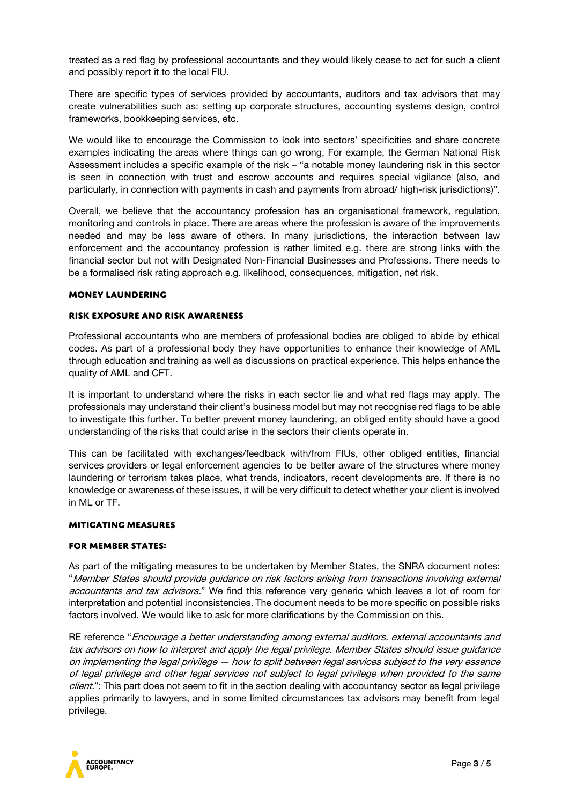treated as a red flag by professional accountants and they would likely cease to act for such a client and possibly report it to the local FIU.

There are specific types of services provided by accountants, auditors and tax advisors that may create vulnerabilities such as: setting up corporate structures, accounting systems design, control frameworks, bookkeeping services, etc.

We would like to encourage the Commission to look into sectors' specificities and share concrete examples indicating the areas where things can go wrong, For example, the German National Risk Assessment includes a specific example of the risk – "a notable money laundering risk in this sector is seen in connection with trust and escrow accounts and requires special vigilance (also, and particularly, in connection with payments in cash and payments from abroad/ high-risk jurisdictions)".

Overall, we believe that the accountancy profession has an organisational framework, regulation, monitoring and controls in place. There are areas where the profession is aware of the improvements needed and may be less aware of others. In many jurisdictions, the interaction between law enforcement and the accountancy profession is rather limited e.g. there are strong links with the financial sector but not with Designated Non-Financial Businesses and Professions. There needs to be a formalised risk rating approach e.g. likelihood, consequences, mitigation, net risk.

## **Money laundering**

## **Risk exposure and risk awareness**

Professional accountants who are members of professional bodies are obliged to abide by ethical codes. As part of a professional body they have opportunities to enhance their knowledge of AML through education and training as well as discussions on practical experience. This helps enhance the quality of AML and CFT.

It is important to understand where the risks in each sector lie and what red flags may apply. The professionals may understand their client's business model but may not recognise red flags to be able to investigate this further. To better prevent money laundering, an obliged entity should have a good understanding of the risks that could arise in the sectors their clients operate in.

This can be facilitated with exchanges/feedback with/from FIUs, other obliged entities, financial services providers or legal enforcement agencies to be better aware of the structures where money laundering or terrorism takes place, what trends, indicators, recent developments are. If there is no knowledge or awareness of these issues, it will be very difficult to detect whether your client is involved in ML or TF.

#### **Mitigating measures**

#### **for Member States:**

As part of the mitigating measures to be undertaken by Member States, the SNRA document notes: "Member States should provide guidance on risk factors arising from transactions involving external accountants and tax advisors." We find this reference very generic which leaves a lot of room for interpretation and potential inconsistencies. The document needs to be more specific on possible risks factors involved. We would like to ask for more clarifications by the Commission on this.

RE reference "Encourage a better understanding among external auditors, external accountants and tax advisors on how to interpret and apply the legal privilege. Member States should issue guidance on implementing the legal privilege — how to split between legal services subject to the very essence of legal privilege and other legal services not subject to legal privilege when provided to the same client.": This part does not seem to fit in the section dealing with accountancy sector as legal privilege applies primarily to lawyers, and in some limited circumstances tax advisors may benefit from legal privilege.

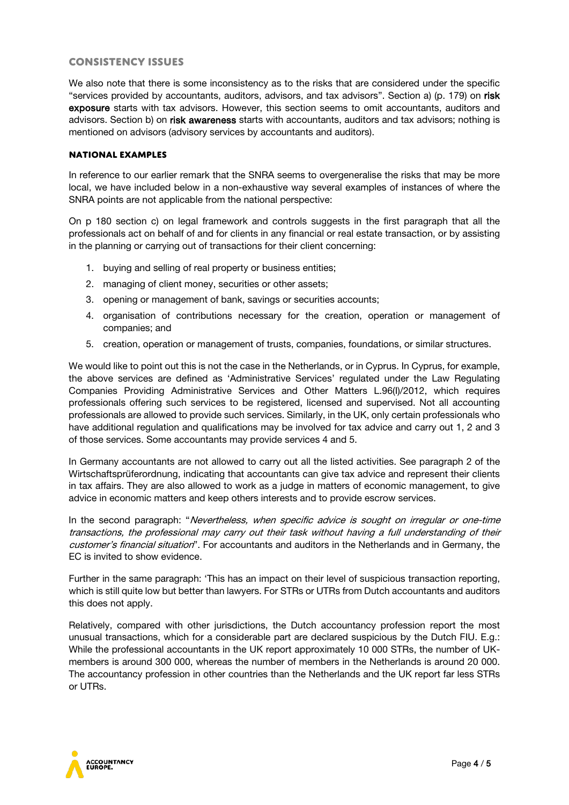## **Consistency issues**

We also note that there is some inconsistency as to the risks that are considered under the specific "services provided by accountants, auditors, advisors, and tax advisors". Section a) (p. 179) on risk exposure starts with tax advisors. However, this section seems to omit accountants, auditors and advisors. Section b) on risk awareness starts with accountants, auditors and tax advisors; nothing is mentioned on advisors (advisory services by accountants and auditors).

## **National examples**

In reference to our earlier remark that the SNRA seems to overgeneralise the risks that may be more local, we have included below in a non-exhaustive way several examples of instances of where the SNRA points are not applicable from the national perspective:

On p 180 section c) on legal framework and controls suggests in the first paragraph that all the professionals act on behalf of and for clients in any financial or real estate transaction, or by assisting in the planning or carrying out of transactions for their client concerning:

- 1. buying and selling of real property or business entities;
- 2. managing of client money, securities or other assets;
- 3. opening or management of bank, savings or securities accounts;
- 4. organisation of contributions necessary for the creation, operation or management of companies; and
- 5. creation, operation or management of trusts, companies, foundations, or similar structures.

We would like to point out this is not the case in the Netherlands, or in Cyprus. In Cyprus, for example, the above services are defined as 'Administrative Services' regulated under the Law Regulating Companies Providing Administrative Services and Other Matters L.96(I)/2012, which requires professionals offering such services to be registered, licensed and supervised. Not all accounting professionals are allowed to provide such services. Similarly, in the UK, only certain professionals who have additional regulation and qualifications may be involved for tax advice and carry out 1, 2 and 3 of those services. Some accountants may provide services 4 and 5.

In Germany accountants are not allowed to carry out all the listed activities. See paragraph 2 of the Wirtschaftsprüferordnung, indicating that accountants can give tax advice and represent their clients in tax affairs. They are also allowed to work as a judge in matters of economic management, to give advice in economic matters and keep others interests and to provide escrow services.

In the second paragraph: "Nevertheless, when specific advice is sought on irregular or one-time transactions, the professional may carry out their task without having a full understanding of their customer's financial situation". For accountants and auditors in the Netherlands and in Germany, the EC is invited to show evidence.

Further in the same paragraph: 'This has an impact on their level of suspicious transaction reporting, which is still quite low but better than lawyers. For STRs or UTRs from Dutch accountants and auditors this does not apply.

Relatively, compared with other jurisdictions, the Dutch accountancy profession report the most unusual transactions, which for a considerable part are declared suspicious by the Dutch FIU. E.g.: While the professional accountants in the UK report approximately 10 000 STRs, the number of UKmembers is around 300 000, whereas the number of members in the Netherlands is around 20 000. The accountancy profession in other countries than the Netherlands and the UK report far less STRs or UTRs.